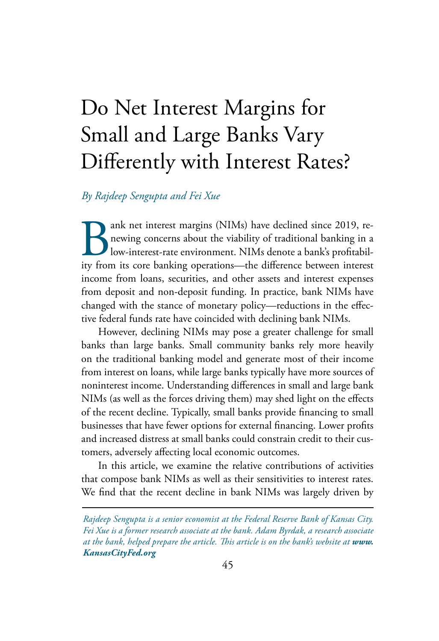# Do Net Interest Margins for Small and Large Banks Vary Differently with Interest Rates?

## *By Rajdeep Sengupta and Fei Xue*

ank net interest margins (NIMs) have declined since 2019, renewing concerns about the viability of traditional banking in a low-interest-rate environment. NIMs denote a bank's profitability from its core banking operations newing concerns about the viability of traditional banking in a low-interest-rate environment. NIMs denote a bank's profitability from its core banking operations—the difference between interest income from loans, securities, and other assets and interest expenses from deposit and non-deposit funding. In practice, bank NIMs have changed with the stance of monetary policy—reductions in the effective federal funds rate have coincided with declining bank NIMs.

However, declining NIMs may pose a greater challenge for small banks than large banks. Small community banks rely more heavily on the traditional banking model and generate most of their income from interest on loans, while large banks typically have more sources of noninterest income. Understanding differences in small and large bank NIMs (as well as the forces driving them) may shed light on the effects of the recent decline. Typically, small banks provide financing to small businesses that have fewer options for external financing. Lower profits and increased distress at small banks could constrain credit to their customers, adversely affecting local economic outcomes.

In this article, we examine the relative contributions of activities that compose bank NIMs as well as their sensitivities to interest rates. We find that the recent decline in bank NIMs was largely driven by

*Rajdeep Sengupta is a senior economist at the Federal Reserve Bank of Kansas City. Fei Xue is a former research associate at the bank. Adam Byrdak, a research associate at the bank, helped prepare the article. This article is on the bank's website at www. KansasCityFed.org*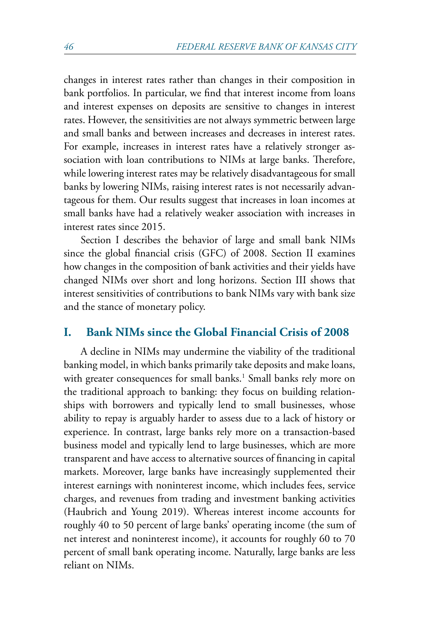<span id="page-1-0"></span>changes in interest rates rather than changes in their composition in bank portfolios. In particular, we find that interest income from loans and interest expenses on deposits are sensitive to changes in interest rates. However, the sensitivities are not always symmetric between large and small banks and between increases and decreases in interest rates. For example, increases in interest rates have a relatively stronger association with loan contributions to NIMs at large banks. Therefore, while lowering interest rates may be relatively disadvantageous for small banks by lowering NIMs, raising interest rates is not necessarily advantageous for them. Our results suggest that increases in loan incomes at small banks have had a relatively weaker association with increases in interest rates since 2015.

Section I describes the behavior of large and small bank NIMs since the global financial crisis (GFC) of 2008. Section II examines how changes in the composition of bank activities and their yields have changed NIMs over short and long horizons. Section III shows that interest sensitivities of contributions to bank NIMs vary with bank size and the stance of monetary policy.

## **I. Bank NIMs since the Global Financial Crisis of 2008**

A decline in NIMs may undermine the viability of the traditional banking model, in which banks primarily take deposits and make loans, with greater consequences for small banks.<sup>1</sup> Small banks rely more on the traditional approach to banking: they focus on building relationships with borrowers and typically lend to small businesses, whose ability to repay is arguably harder to assess due to a lack of history or experience. In contrast, large banks rely more on a transaction-based business model and typically lend to large businesses, which are more transparent and have access to alternative sources of financing in capital markets. Moreover, large banks have increasingly supplemented their interest earnings with noninterest income, which includes fees, service charges, and revenues from trading and investment banking activities (Haubrich and Young 2019). Whereas interest income accounts for roughly 40 to 50 percent of large banks' operating income (the sum of net interest and noninterest income), it accounts for roughly 60 to 70 percent of small bank operating income. Naturally, large banks are less reliant on NIMs.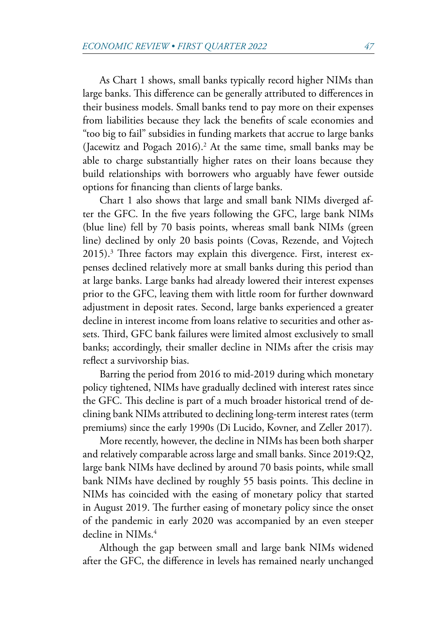<span id="page-2-0"></span>As Chart 1 shows, small banks typically record higher NIMs than large banks. This difference can be generally attributed to differences in their business models. Small banks tend to pay more on their expenses from liabilities because they lack the benefits of scale economies and "too big to fail" subsidies in funding markets that accrue to large banks (Jacewitz and Pogach 2016).<sup>2</sup> At the same time, small banks may be able to charge substantially higher rates on their loans because they build relationships with borrowers who arguably have fewer outside options for financing than clients of large banks.

Chart 1 also shows that large and small bank NIMs diverged after the GFC. In the five years following the GFC, large bank NIMs (blue line) fell by 70 basis points, whereas small bank NIMs (green line) declined by only 20 basis points (Covas, Rezende, and Vojtech 2015).<sup>[3](#page-16-0)</sup> Three factors may explain this divergence. First, interest expenses declined relatively more at small banks during this period than at large banks. Large banks had already lowered their interest expenses prior to the GFC, leaving them with little room for further downward adjustment in deposit rates. Second, large banks experienced a greater decline in interest income from loans relative to securities and other assets. Third, GFC bank failures were limited almost exclusively to small banks; accordingly, their smaller decline in NIMs after the crisis may reflect a survivorship bias.

Barring the period from 2016 to mid-2019 during which monetary policy tightened, NIMs have gradually declined with interest rates since the GFC. This decline is part of a much broader historical trend of declining bank NIMs attributed to declining long-term interest rates (term premiums) since the early 1990s (Di Lucido, Kovner, and Zeller 2017).

More recently, however, the decline in NIMs has been both sharper and relatively comparable across large and small banks. Since 2019:Q2, large bank NIMs have declined by around 70 basis points, while small bank NIMs have declined by roughly 55 basis points. This decline in NIMs has coincided with the easing of monetary policy that started in August 2019. The further easing of monetary policy since the onset of the pandemic in early 2020 was accompanied by an even steeper decline in NIMs.<sup>[4](#page-16-0)</sup>

Although the gap between small and large bank NIMs widened after the GFC, the difference in levels has remained nearly unchanged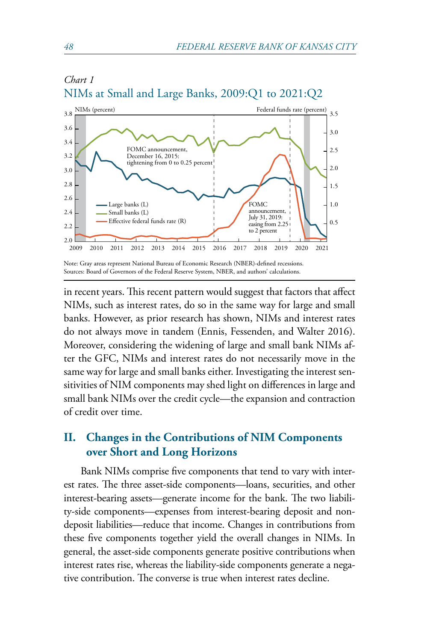

# *Chart 1* NIMs at Small and Large Banks, 2009:Q1 to 2021:Q2

in recent years. This recent pattern would suggest that factors that affect NIMs, such as interest rates, do so in the same way for large and small banks. However, as prior research has shown, NIMs and interest rates do not always move in tandem (Ennis, Fessenden, and Walter 2016). Moreover, considering the widening of large and small bank NIMs after the GFC, NIMs and interest rates do not necessarily move in the same way for large and small banks either. Investigating the interest sensitivities of NIM components may shed light on differences in large and small bank NIMs over the credit cycle—the expansion and contraction of credit over time.

## **II. Changes in the Contributions of NIM Components over Short and Long Horizons**

Bank NIMs comprise five components that tend to vary with interest rates. The three asset-side components—loans, securities, and other interest-bearing assets—generate income for the bank. The two liability-side components—expenses from interest-bearing deposit and nondeposit liabilities—reduce that income. Changes in contributions from these five components together yield the overall changes in NIMs. In general, the asset-side components generate positive contributions when interest rates rise, whereas the liability-side components generate a negative contribution. The converse is true when interest rates decline.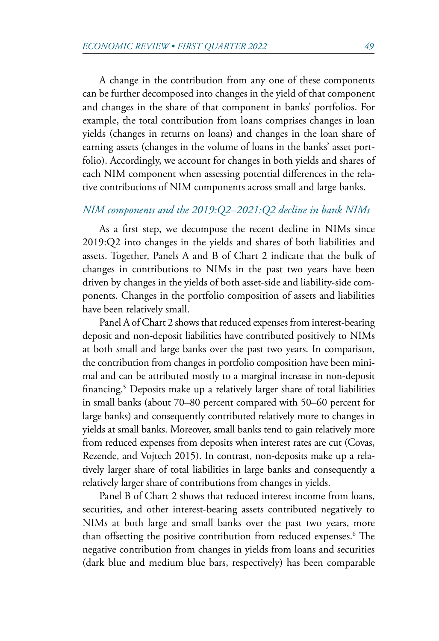<span id="page-4-0"></span>A change in the contribution from any one of these components can be further decomposed into changes in the yield of that component and changes in the share of that component in banks' portfolios. For example, the total contribution from loans comprises changes in loan yields (changes in returns on loans) and changes in the loan share of earning assets (changes in the volume of loans in the banks' asset portfolio). Accordingly, we account for changes in both yields and shares of each NIM component when assessing potential differences in the relative contributions of NIM components across small and large banks.

## *NIM components and the 2019:Q2–2021:Q2 decline in bank NIMs*

As a first step, we decompose the recent decline in NIMs since 2019:Q2 into changes in the yields and shares of both liabilities and assets. Together, Panels A and B of Chart 2 indicate that the bulk of changes in contributions to NIMs in the past two years have been driven by changes in the yields of both asset-side and liability-side components. Changes in the portfolio composition of assets and liabilities have been relatively small.

Panel A of Chart 2 shows that reduced expenses from interest-bearing deposit and non-deposit liabilities have contributed positively to NIMs at both small and large banks over the past two years. In comparison, the contribution from changes in portfolio composition have been minimal and can be attributed mostly to a marginal increase in non-deposit financing[.5](#page-16-0) Deposits make up a relatively larger share of total liabilities in small banks (about 70–80 percent compared with 50–60 percent for large banks) and consequently contributed relatively more to changes in yields at small banks. Moreover, small banks tend to gain relatively more from reduced expenses from deposits when interest rates are cut (Covas, Rezende, and Vojtech 2015). In contrast, non-deposits make up a relatively larger share of total liabilities in large banks and consequently a relatively larger share of contributions from changes in yields.

Panel B of Chart 2 shows that reduced interest income from loans, securities, and other interest-bearing assets contributed negatively to NIMs at both large and small banks over the past two years, more than offsetting the positive contribution from reduced expenses[.6](#page-16-0) The negative contribution from changes in yields from loans and securities (dark blue and medium blue bars, respectively) has been comparable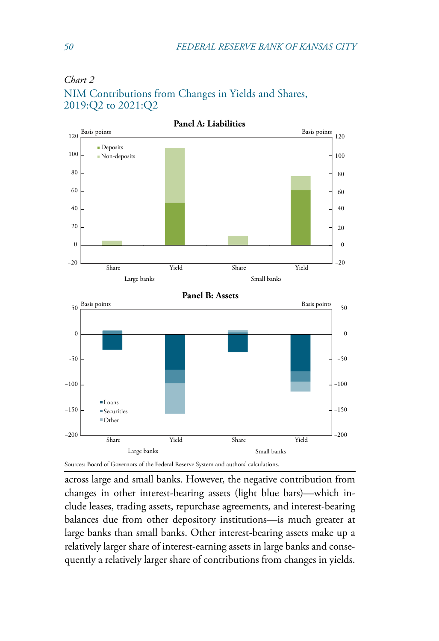

## *Chart 2* NIM Contributions from Changes in Yields and Shares, 2019:Q2 to 2021:Q2

Sources: Board of Governors of the Federal Reserve System and authors' calculations.

across large and small banks. However, the negative contribution from changes in other interest-bearing assets (light blue bars)—which include leases, trading assets, repurchase agreements, and interest-bearing balances due from other depository institutions—is much greater at large banks than small banks. Other interest-bearing assets make up a relatively larger share of interest-earning assets in large banks and consequently a relatively larger share of contributions from changes in yields.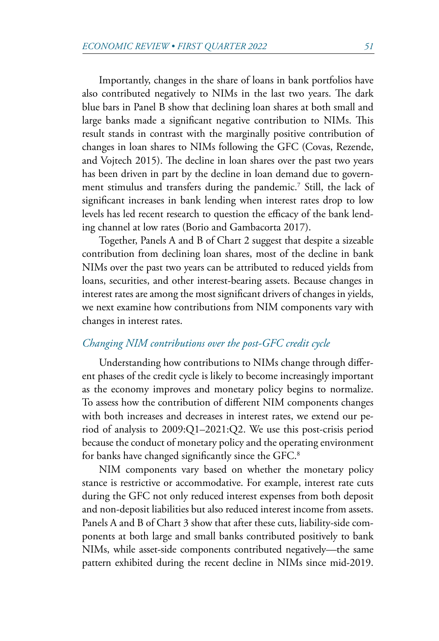<span id="page-6-0"></span>Importantly, changes in the share of loans in bank portfolios have also contributed negatively to NIMs in the last two years. The dark blue bars in Panel B show that declining loan shares at both small and large banks made a significant negative contribution to NIMs. This result stands in contrast with the marginally positive contribution of changes in loan shares to NIMs following the GFC (Covas, Rezende, and Vojtech 2015). The decline in loan shares over the past two years has been driven in part by the decline in loan demand due to government stimulus and transfers during the pandemic[.7](#page-16-0) Still, the lack of significant increases in bank lending when interest rates drop to low levels has led recent research to question the efficacy of the bank lending channel at low rates (Borio and Gambacorta 2017).

Together, Panels A and B of Chart 2 suggest that despite a sizeable contribution from declining loan shares, most of the decline in bank NIMs over the past two years can be attributed to reduced yields from loans, securities, and other interest-bearing assets. Because changes in interest rates are among the most significant drivers of changes in yields, we next examine how contributions from NIM components vary with changes in interest rates.

## *Changing NIM contributions over the post-GFC credit cycle*

Understanding how contributions to NIMs change through different phases of the credit cycle is likely to become increasingly important as the economy improves and monetary policy begins to normalize. To assess how the contribution of different NIM components changes with both increases and decreases in interest rates, we extend our period of analysis to 2009:Q1–2021:Q2. We use this post-crisis period because the conduct of monetary policy and the operating environment for banks have changed significantly since the GFC.<sup>[8](#page-16-0)</sup>

NIM components vary based on whether the monetary policy stance is restrictive or accommodative. For example, interest rate cuts during the GFC not only reduced interest expenses from both deposit and non-deposit liabilities but also reduced interest income from assets. Panels A and B of Chart 3 show that after these cuts, liability-side components at both large and small banks contributed positively to bank NIMs, while asset-side components contributed negatively—the same pattern exhibited during the recent decline in NIMs since mid-2019.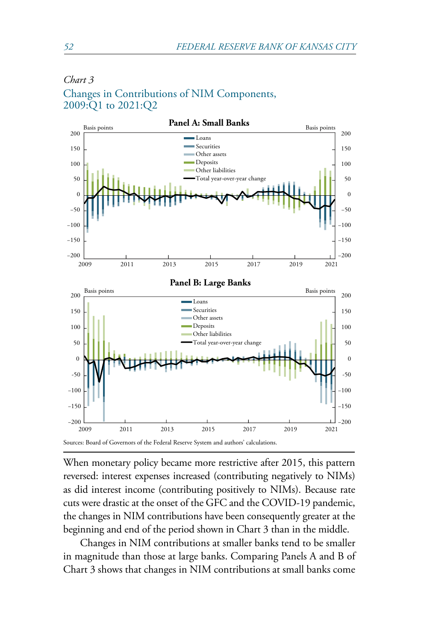

#### *Chart 3*

Changes in Contributions of NIM Components, 2009:Q1 to 2021:Q2

Sources: Board of Governors of the Federal Reserve System and authors' calculations.

When monetary policy became more restrictive after 2015, this pattern reversed: interest expenses increased (contributing negatively to NIMs) as did interest income (contributing positively to NIMs). Because rate cuts were drastic at the onset of the GFC and the COVID-19 pandemic, the changes in NIM contributions have been consequently greater at the beginning and end of the period shown in Chart 3 than in the middle.

Changes in NIM contributions at smaller banks tend to be smaller in magnitude than those at large banks. Comparing Panels A and B of Chart 3 shows that changes in NIM contributions at small banks come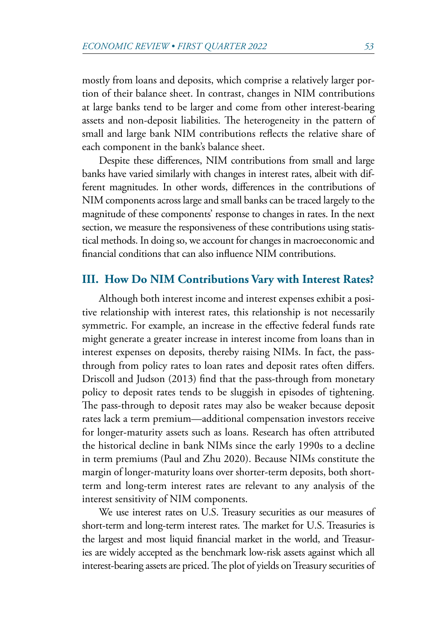mostly from loans and deposits, which comprise a relatively larger portion of their balance sheet. In contrast, changes in NIM contributions at large banks tend to be larger and come from other interest-bearing assets and non-deposit liabilities. The heterogeneity in the pattern of small and large bank NIM contributions reflects the relative share of each component in the bank's balance sheet.

Despite these differences, NIM contributions from small and large banks have varied similarly with changes in interest rates, albeit with different magnitudes. In other words, differences in the contributions of NIM components across large and small banks can be traced largely to the magnitude of these components' response to changes in rates. In the next section, we measure the responsiveness of these contributions using statistical methods. In doing so, we account for changes in macroeconomic and financial conditions that can also influence NIM contributions.

## **III. How Do NIM Contributions Vary with Interest Rates?**

Although both interest income and interest expenses exhibit a positive relationship with interest rates, this relationship is not necessarily symmetric. For example, an increase in the effective federal funds rate might generate a greater increase in interest income from loans than in interest expenses on deposits, thereby raising NIMs. In fact, the passthrough from policy rates to loan rates and deposit rates often differs. Driscoll and Judson (2013) find that the pass-through from monetary policy to deposit rates tends to be sluggish in episodes of tightening. The pass-through to deposit rates may also be weaker because deposit rates lack a term premium—additional compensation investors receive for longer-maturity assets such as loans. Research has often attributed the historical decline in bank NIMs since the early 1990s to a decline in term premiums (Paul and Zhu 2020). Because NIMs constitute the margin of longer-maturity loans over shorter-term deposits, both shortterm and long-term interest rates are relevant to any analysis of the interest sensitivity of NIM components.

We use interest rates on U.S. Treasury securities as our measures of short-term and long-term interest rates. The market for U.S. Treasuries is the largest and most liquid financial market in the world, and Treasuries are widely accepted as the benchmark low-risk assets against which all interest-bearing assets are priced. The plot of yields on Treasury securities of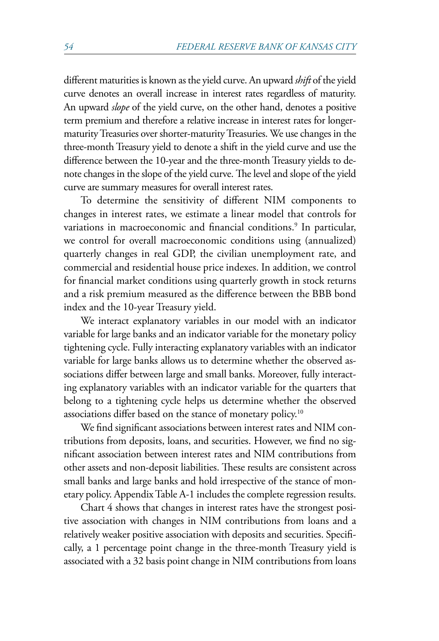<span id="page-9-0"></span>different maturities is known as the yield curve. An upward *shift* of the yield curve denotes an overall increase in interest rates regardless of maturity. An upward *slope* of the yield curve, on the other hand, denotes a positive term premium and therefore a relative increase in interest rates for longermaturity Treasuries over shorter-maturity Treasuries. We use changes in the three-month Treasury yield to denote a shift in the yield curve and use the difference between the 10-year and the three-month Treasury yields to denote changes in the slope of the yield curve. The level and slope of the yield curve are summary measures for overall interest rates.

To determine the sensitivity of different NIM components to changes in interest rates, we estimate a linear model that controls for variations in macroeconomic and financial conditions.<sup>[9](#page-16-0)</sup> In particular, we control for overall macroeconomic conditions using (annualized) quarterly changes in real GDP, the civilian unemployment rate, and commercial and residential house price indexes. In addition, we control for financial market conditions using quarterly growth in stock returns and a risk premium measured as the difference between the BBB bond index and the 10-year Treasury yield.

We interact explanatory variables in our model with an indicator variable for large banks and an indicator variable for the monetary policy tightening cycle. Fully interacting explanatory variables with an indicator variable for large banks allows us to determine whether the observed associations differ between large and small banks. Moreover, fully interacting explanatory variables with an indicator variable for the quarters that belong to a tightening cycle helps us determine whether the observed associations differ based on the stance of monetary policy[.10](#page-16-0)

We find significant associations between interest rates and NIM contributions from deposits, loans, and securities. However, we find no significant association between interest rates and NIM contributions from other assets and non-deposit liabilities. These results are consistent across small banks and large banks and hold irrespective of the stance of monetary policy. Appendix Table A-1 includes the complete regression results.

Chart 4 shows that changes in interest rates have the strongest positive association with changes in NIM contributions from loans and a relatively weaker positive association with deposits and securities. Specifically, a 1 percentage point change in the three-month Treasury yield is associated with a 32 basis point change in NIM contributions from loans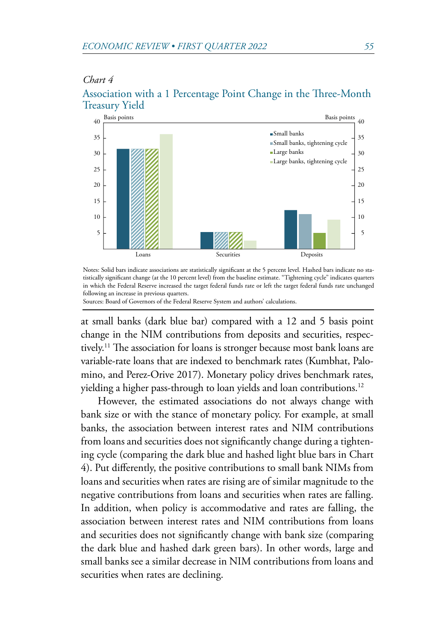#### <span id="page-10-0"></span>*Chart 4*

#### Association with a 1 Percentage Point Change in the Three-Month Treasury Yield



Notes: Solid bars indicate associations are statistically significant at the 5 percent level. Hashed bars indicate no statistically significant change (at the 10 percent level) from the baseline estimate. "Tightening cycle" indicates quarters in which the Federal Reserve increased the target federal funds rate or left the target federal funds rate unchanged following an increase in previous quarters.

Sources: Board of Governors of the Federal Reserve System and authors' calculations.

at small banks (dark blue bar) compared with a 12 and 5 basis point change in the NIM contributions from deposits and securities, respectively.<sup>11</sup> The association for loans is stronger because most bank loans are variable-rate loans that are indexed to benchmark rates (Kumbhat, Palomino, and Perez-Orive 2017). Monetary policy drives benchmark rates, yielding a higher pass-through to loan yields and loan contributions.<sup>[12](#page-17-0)</sup>

However, the estimated associations do not always change with bank size or with the stance of monetary policy. For example, at small banks, the association between interest rates and NIM contributions from loans and securities does not significantly change during a tightening cycle (comparing the dark blue and hashed light blue bars in Chart 4). Put differently, the positive contributions to small bank NIMs from loans and securities when rates are rising are of similar magnitude to the negative contributions from loans and securities when rates are falling. In addition, when policy is accommodative and rates are falling, the association between interest rates and NIM contributions from loans and securities does not significantly change with bank size (comparing the dark blue and hashed dark green bars). In other words, large and small banks see a similar decrease in NIM contributions from loans and securities when rates are declining.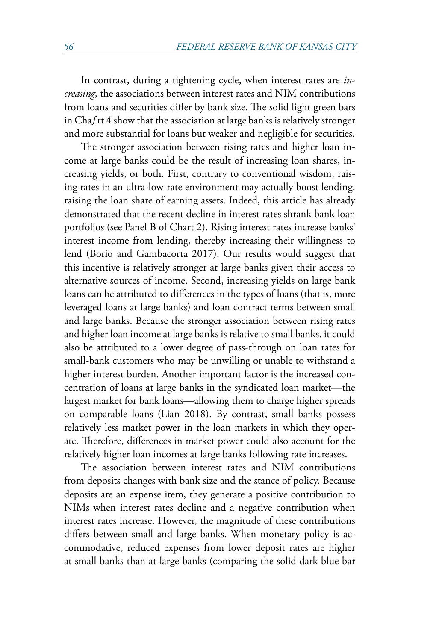In contrast, during a tightening cycle, when interest rates are *increasing*, the associations between interest rates and NIM contributions from loans and securities differ by bank size. The solid light green bars in Chaƒrt 4 show that the association at large banks is relatively stronger and more substantial for loans but weaker and negligible for securities.

The stronger association between rising rates and higher loan income at large banks could be the result of increasing loan shares, increasing yields, or both. First, contrary to conventional wisdom, raising rates in an ultra-low-rate environment may actually boost lending, raising the loan share of earning assets. Indeed, this article has already demonstrated that the recent decline in interest rates shrank bank loan portfolios (see Panel B of Chart 2). Rising interest rates increase banks' interest income from lending, thereby increasing their willingness to lend (Borio and Gambacorta 2017). Our results would suggest that this incentive is relatively stronger at large banks given their access to alternative sources of income. Second, increasing yields on large bank loans can be attributed to differences in the types of loans (that is, more leveraged loans at large banks) and loan contract terms between small and large banks. Because the stronger association between rising rates and higher loan income at large banks is relative to small banks, it could also be attributed to a lower degree of pass-through on loan rates for small-bank customers who may be unwilling or unable to withstand a higher interest burden. Another important factor is the increased concentration of loans at large banks in the syndicated loan market—the largest market for bank loans—allowing them to charge higher spreads on comparable loans (Lian 2018). By contrast, small banks possess relatively less market power in the loan markets in which they operate. Therefore, differences in market power could also account for the relatively higher loan incomes at large banks following rate increases.

The association between interest rates and NIM contributions from deposits changes with bank size and the stance of policy. Because deposits are an expense item, they generate a positive contribution to NIMs when interest rates decline and a negative contribution when interest rates increase. However, the magnitude of these contributions differs between small and large banks. When monetary policy is accommodative, reduced expenses from lower deposit rates are higher at small banks than at large banks (comparing the solid dark blue bar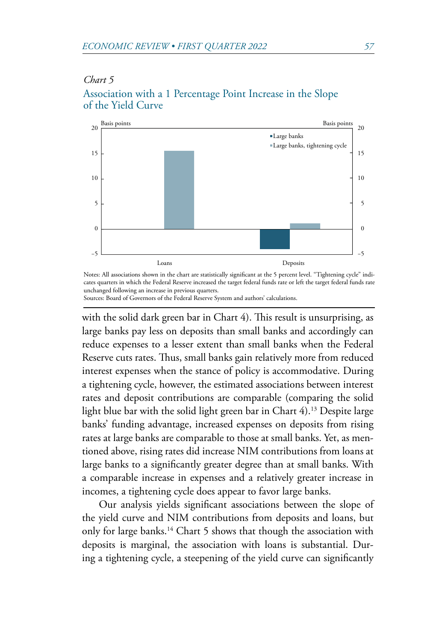#### <span id="page-12-0"></span>*Chart 5*



# Association with a 1 Percentage Point Increase in the Slope of the Yield Curve

Notes: All associations shown in the chart are statistically significant at the 5 percent level. "Tightening cycle" indicates quarters in which the Federal Reserve increased the target federal funds rate or left the target federal funds rate unchanged following an increase in previous quarters.

Sources: Board of Governors of the Federal Reserve System and authors' calculations.

with the solid dark green bar in Chart 4). This result is unsurprising, as large banks pay less on deposits than small banks and accordingly can reduce expenses to a lesser extent than small banks when the Federal Reserve cuts rates. Thus, small banks gain relatively more from reduced interest expenses when the stance of policy is accommodative. During a tightening cycle, however, the estimated associations between interest rates and deposit contributions are comparable (comparing the solid light blue bar with the solid light green bar in Chart 4).<sup>13</sup> Despite large banks' funding advantage, increased expenses on deposits from rising rates at large banks are comparable to those at small banks. Yet, as mentioned above, rising rates did increase NIM contributions from loans at large banks to a significantly greater degree than at small banks. With a comparable increase in expenses and a relatively greater increase in incomes, a tightening cycle does appear to favor large banks.

Our analysis yields significant associations between the slope of the yield curve and NIM contributions from deposits and loans, but only for large banks.<sup>14</sup> Chart 5 shows that though the association with deposits is marginal, the association with loans is substantial. During a tightening cycle, a steepening of the yield curve can significantly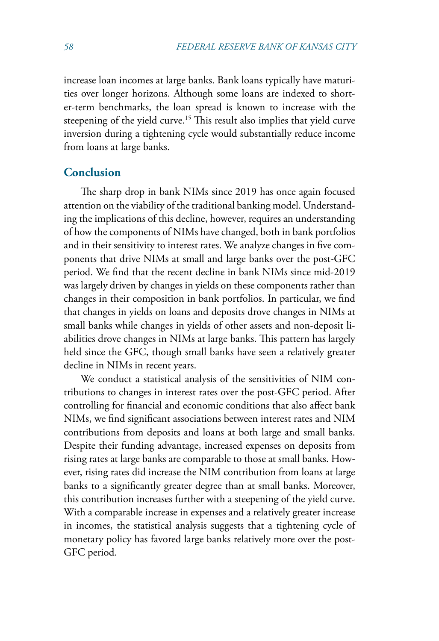<span id="page-13-0"></span>increase loan incomes at large banks. Bank loans typically have maturities over longer horizons. Although some loans are indexed to shorter-term benchmarks, the loan spread is known to increase with the steepening of the yield curve.<sup>15</sup> This result also implies that yield curve inversion during a tightening cycle would substantially reduce income from loans at large banks.

## **Conclusion**

The sharp drop in bank NIMs since 2019 has once again focused attention on the viability of the traditional banking model. Understanding the implications of this decline, however, requires an understanding of how the components of NIMs have changed, both in bank portfolios and in their sensitivity to interest rates. We analyze changes in five components that drive NIMs at small and large banks over the post-GFC period. We find that the recent decline in bank NIMs since mid-2019 was largely driven by changes in yields on these components rather than changes in their composition in bank portfolios. In particular, we find that changes in yields on loans and deposits drove changes in NIMs at small banks while changes in yields of other assets and non-deposit liabilities drove changes in NIMs at large banks. This pattern has largely held since the GFC, though small banks have seen a relatively greater decline in NIMs in recent years.

We conduct a statistical analysis of the sensitivities of NIM contributions to changes in interest rates over the post-GFC period. After controlling for financial and economic conditions that also affect bank NIMs, we find significant associations between interest rates and NIM contributions from deposits and loans at both large and small banks. Despite their funding advantage, increased expenses on deposits from rising rates at large banks are comparable to those at small banks. However, rising rates did increase the NIM contribution from loans at large banks to a significantly greater degree than at small banks. Moreover, this contribution increases further with a steepening of the yield curve. With a comparable increase in expenses and a relatively greater increase in incomes, the statistical analysis suggests that a tightening cycle of monetary policy has favored large banks relatively more over the post-GFC period.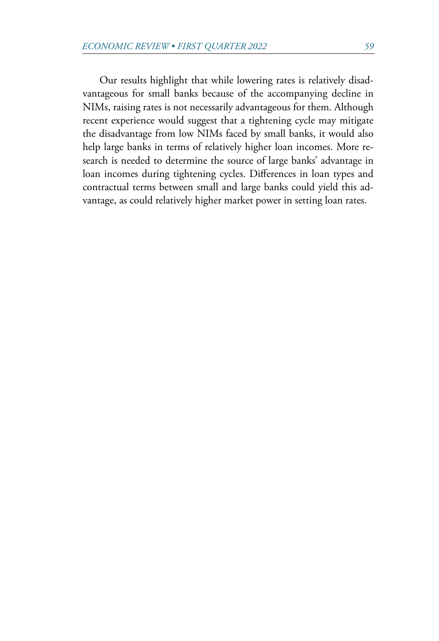Our results highlight that while lowering rates is relatively disadvantageous for small banks because of the accompanying decline in NIMs, raising rates is not necessarily advantageous for them. Although recent experience would suggest that a tightening cycle may mitigate the disadvantage from low NIMs faced by small banks, it would also help large banks in terms of relatively higher loan incomes. More research is needed to determine the source of large banks' advantage in loan incomes during tightening cycles. Differences in loan types and contractual terms between small and large banks could yield this advantage, as could relatively higher market power in setting loan rates.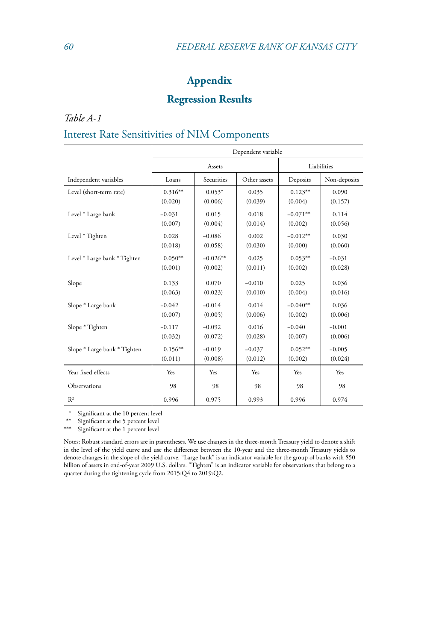## **Appendix**

## **Regression Results**

*Table A-1*

## Interest Rate Sensitivities of NIM Components

|                              | Dependent variable |            |              |            |              |
|------------------------------|--------------------|------------|--------------|------------|--------------|
|                              | Assets             |            | Liabilities  |            |              |
| Independent variables        | Loans              | Securities | Other assets | Deposits   | Non-deposits |
| Level (short-term rate)      | $0.316**$          | $0.053*$   | 0.035        | $0.123**$  | 0.090        |
|                              | (0.020)            | (0.006)    | (0.039)      | (0.004)    | (0.157)      |
| Level * Large bank           | $-0.031$           | 0.015      | 0.018        | $-0.071**$ | 0.114        |
|                              | (0.007)            | (0.004)    | (0.014)      | (0.002)    | (0.056)      |
| Level * Tighten              | 0.028              | $-0.086$   | 0.002        | $-0.012**$ | 0.030        |
|                              | (0.018)            | (0.058)    | (0.030)      | (0.000)    | (0.060)      |
| Level * Large bank * Tighten | $0.050**$          | $-0.026**$ | 0.025        | $0.053**$  | $-0.031$     |
|                              | (0.001)            | (0.002)    | (0.011)      | (0.002)    | (0.028)      |
| Slope                        | 0.133              | 0.070      | $-0.010$     | 0.025      | 0.036        |
|                              | (0.063)            | (0.023)    | (0.010)      | (0.004)    | (0.016)      |
| Slope * Large bank           | $-0.042$           | $-0.014$   | 0.014        | $-0.040**$ | 0.036        |
|                              | (0.007)            | (0.005)    | (0.006)      | (0.002)    | (0.006)      |
| Slope * Tighten              | $-0.117$           | $-0.092$   | 0.016        | $-0.040$   | $-0.001$     |
|                              | (0.032)            | (0.072)    | (0.028)      | (0.007)    | (0.006)      |
| Slope * Large bank * Tighten | $0.156**$          | $-0.019$   | $-0.037$     | $0.052**$  | $-0.005$     |
|                              | (0.011)            | (0.008)    | (0.012)      | (0.002)    | (0.024)      |
| Year fixed effects           | Yes                | Yes        | Yes          | Yes        | Yes          |
| Observations                 | 98                 | 98         | 98           | 98         | 98           |
| R <sup>2</sup>               | 0.996              | 0.975      | 0.993        | 0.996      | 0.974        |

\* Significant at the 10 percent level<br>\*\* Simifants at the  $\frac{1}{2}$  percent level

\*\* Significant at the 5 percent level<br>\*\*\* Significant at the 1 percent level

Significant at the 1 percent level

Notes: Robust standard errors are in parentheses. We use changes in the three-month Treasury yield to denote a shift in the level of the yield curve and use the difference between the 10-year and the three-month Treasury yields to denote changes in the slope of the yield curve. "Large bank" is an indicator variable for the group of banks with \$50 billion of assets in end-of-year 2009 U.S. dollars. "Tighten" is an indicator variable for observations that belong to a quarter during the tightening cycle from 2015:Q4 to 2019:Q2.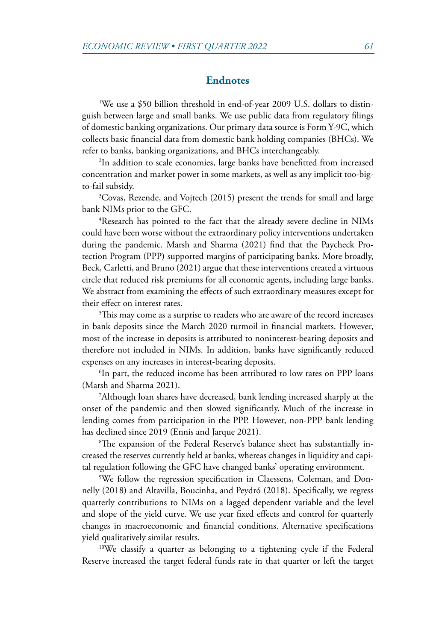#### **Endnotes**

<span id="page-16-0"></span>[1](#page-1-0) We use a \$50 billion threshold in end-of-year 2009 U.S. dollars to distinguish between large and small banks. We use public data from regulatory filings of domestic banking organizations. Our primary data source is Form Y-9C, which collects basic financial data from domestic bank holding companies (BHCs). We refer to banks, banking organizations, and BHCs interchangeably.

[2](#page-2-0) In addition to scale economies, large banks have benefitted from increased concentration and market power in some markets, as well as any implicit too-bigto-fail subsidy.

<sup>3</sup>Covas, Rezende, and Vojtech (2015) present the trends for small and large bank NIMs prior to the GFC.

4 Research has pointed to the fact that the already severe decline in NIMs could have been worse without the extraordinary policy interventions undertaken during the pandemic. Marsh and Sharma (2021) find that the Paycheck Protection Program (PPP) supported margins of participating banks. More broadly, Beck, Carletti, and Bruno (2021) argue that these interventions created a virtuous circle that reduced risk premiums for all economic agents, including large banks. We abstract from examining the effects of such extraordinary measures except for their effect on interest rates.

[5](#page-4-0) This may come as a surprise to readers who are aware of the record increases in bank deposits since the March 2020 turmoil in financial markets. However, most of the increase in deposits is attributed to noninterest-bearing deposits and therefore not included in NIMs. In addition, banks have significantly reduced expenses on any increases in interest-bearing deposits.

<sup>[6](#page-4-0)</sup>In part, the reduced income has been attributed to low rates on PPP loans (Marsh and Sharma 2021).

[7](#page-6-0) Although loan shares have decreased, bank lending increased sharply at the onset of the pandemic and then slowed significantly. Much of the increase in lending comes from participation in the PPP. However, non-PPP bank lending has declined since 2019 (Ennis and Jarque 2021).

[8](#page-6-0) The expansion of the Federal Reserve's balance sheet has substantially increased the reserves currently held at banks, whereas changes in liquidity and capital regulation following the GFC have changed banks' operating environment.

[9](#page-9-0) We follow the regression specification in Claessens, Coleman, and Donnelly (2018) and Altavilla, Boucinha, and Peydró (2018). Specifically, we regress quarterly contributions to NIMs on a lagged dependent variable and the level and slope of the yield curve. We use year fixed effects and control for quarterly changes in macroeconomic and financial conditions. Alternative specifications yield qualitatively similar results.

<sup>[10](#page-9-0)</sup>We classify a quarter as belonging to a tightening cycle if the Federal Reserve increased the target federal funds rate in that quarter or left the target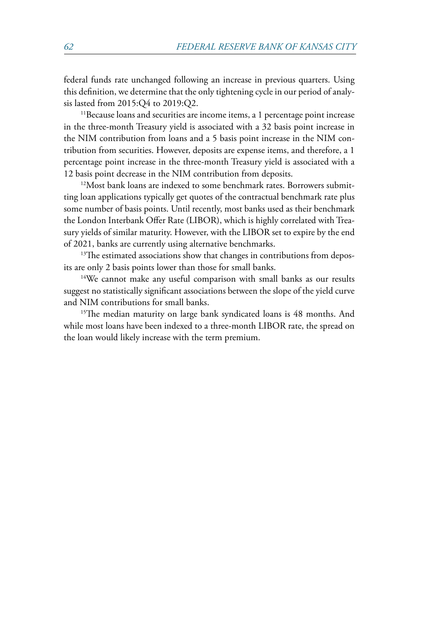<span id="page-17-0"></span>federal funds rate unchanged following an increase in previous quarters. Using this definition, we determine that the only tightening cycle in our period of analysis lasted from 2015:Q4 to 2019:Q2.

<sup>11</sup>Because loans and securities are income items, a 1 percentage point increase in the three-month Treasury yield is associated with a 32 basis point increase in the NIM contribution from loans and a 5 basis point increase in the NIM contribution from securities. However, deposits are expense items, and therefore, a 1 percentage point increase in the three-month Treasury yield is associated with a 12 basis point decrease in the NIM contribution from deposits.

<sup>12</sup>Most bank loans are indexed to some benchmark rates. Borrowers submitting loan applications typically get quotes of the contractual benchmark rate plus some number of basis points. Until recently, most banks used as their benchmark the London Interbank Offer Rate (LIBOR), which is highly correlated with Treasury yields of similar maturity. However, with the LIBOR set to expire by the end of 2021, banks are currently using alternative benchmarks.

<sup>13</sup>The estimated associations show that changes in contributions from depos-

its are only 2 basis points lower than those for small banks. [14W](#page-12-0)e cannot make any useful comparison with small banks as our results suggest no statistically significant associations between the slope of the yield curve and NIM contributions for small banks.

<sup>15</sup>The median maturity on large bank syndicated loans is 48 months. And while most loans have been indexed to a three-month LIBOR rate, the spread on the loan would likely increase with the term premium.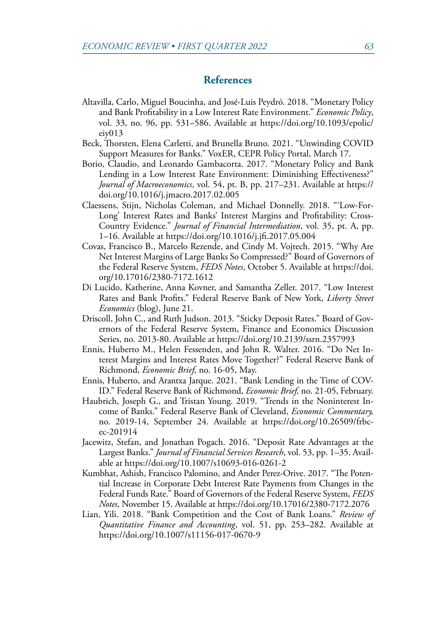### **References**

- Altavilla, Carlo, Miguel Boucinha, and José-Luis Peydró. 2018. "Monetary Policy and Bank Profitability in a Low Interest Rate Environment." *Economic Policy*, vol. 33, no. 96, pp. 531–586. Available at [https://doi.org/10.1093/epolic/](https://doi.org/10.1093/epolic/eiy013) [eiy013](https://doi.org/10.1093/epolic/eiy013)
- Beck, Thorsten, Elena Carletti, and Brunella Bruno. 2021. "Unwinding COVID Support Measures for Banks." VoxER, CEPR Policy Portal, March 17.
- Borio, Claudio, and Leonardo Gambacorta. 2017. "Monetary Policy and Bank Lending in a Low Interest Rate Environment: Diminishing Effectiveness?" *Journal of Macroeconomics*, vol. 54, pt. B, pp. 217–231. Available at [https://](https://doi.org/10.1016/j.jmacro.2017.02.005) [doi.org/10.1016/j.jmacro.2017.02.005](https://doi.org/10.1016/j.jmacro.2017.02.005)
- Claessens, Stijn, Nicholas Coleman, and Michael Donnelly. 2018. "'Low-For-Long' Interest Rates and Banks' Interest Margins and Profitability: Cross-Country Evidence." *Journal of Financial Intermediation*, vol. 35, pt. A, pp. 1–16. Available at <https://doi.org/10.1016/j.jfi.2017.05.004>
- Covas, Francisco B., Marcelo Rezende, and Cindy M. Vojtech. 2015. "Why Are Net Interest Margins of Large Banks So Compressed?" Board of Governors of the Federal Reserve System, *FEDS Notes*, October 5. Available at [https://doi.](https://doi.org/10.17016/2380-7172.1612) [org/10.17016/2380-7172.1612](https://doi.org/10.17016/2380-7172.1612)
- Di Lucido, Katherine, Anna Kovner, and Samantha Zeller. 2017. "Low Interest Rates and Bank Profits." Federal Reserve Bank of New York, *Liberty Street Economics* (blog), June 21.
- Driscoll, John C., and Ruth Judson. 2013. "Sticky Deposit Rates." Board of Governors of the Federal Reserve System, Finance and Economics Discussion Series, no. 2013-80. Available at<https://doi.org/10.2139/ssrn.2357993>
- Ennis, Huberto M., Helen Fessenden, and John R. Walter. 2016. "Do Net Interest Margins and Interest Rates Move Together?" Federal Reserve Bank of Richmond, *Economic Brief,* no. 16-05, May.
- Ennis, Huberto, and Arantxa Jarque. 2021. "Bank Lending in the Time of COV-ID." Federal Reserve Bank of Richmond, *Economic Brief,* no. 21-05, February.
- Haubrich, Joseph G., and Tristan Young. 2019. "Trends in the Noninterest Income of Banks." Federal Reserve Bank of Cleveland, *Economic Commentary,* no. 2019-14, September 24. Available at [https://doi.org/10.26509/frbc](https://doi.org/10.26509/frbc-ec-201914)[ec-201914](https://doi.org/10.26509/frbc-ec-201914)
- Jacewitz, Stefan, and Jonathan Pogach. 2016. "Deposit Rate Advantages at the Largest Banks." *Journal of Financial Services Research*, vol. 53, pp. 1–35. Available at <https://doi.org/10.1007/s10693-016-0261-2>
- Kumbhat, Ashish, Francisco Palomino, and Ander Perez-Orive. 2017. "The Potential Increase in Corporate Debt Interest Rate Payments from Changes in the Federal Funds Rate." Board of Governors of the Federal Reserve System, *FEDS Notes*, November 15. Available at<https://doi.org/10.17016/2380-7172.2076>
- Lian, Yili. 2018. "Bank Competition and the Cost of Bank Loans." *Review of Quantitative Finance and Accounting*, vol. 51, pp. 253–282. Available at <https://doi.org/10.1007/s11156-017-0670-9>